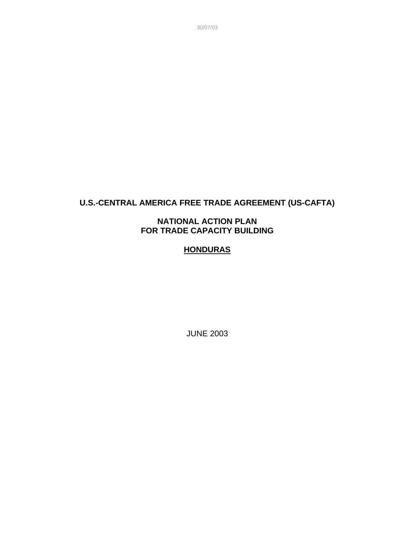**U.S.-CENTRAL AMERICA FREE TRADE AGREEMENT (US-CAFTA)**

### **NATIONAL ACTION PLAN FOR TRADE CAPACITY BUILDING**

# **HONDURAS**

JUNE 2003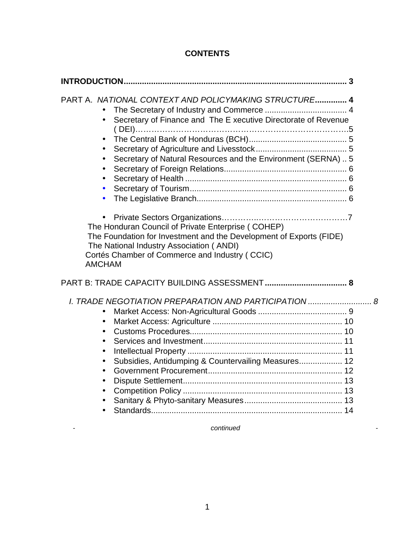# **CONTENTS**

| PART A. NATIONAL CONTEXT AND POLICYMAKING STRUCTURE 4<br>Secretary of Finance and The E xecutive Directorate of Revenue<br>$\bullet$<br>$\bullet$<br>$\bullet$<br>Secretary of Natural Resources and the Environment (SERNA)  5<br>$\bullet$<br>$\bullet$<br>$\bullet$<br>$\bullet$<br>$\bullet$ |  |
|--------------------------------------------------------------------------------------------------------------------------------------------------------------------------------------------------------------------------------------------------------------------------------------------------|--|
| The Honduran Council of Private Enterprise (COHEP)<br>The Foundation for Investment and the Development of Exports (FIDE)<br>The National Industry Association (ANDI)<br>Cortés Chamber of Commerce and Industry (CCIC)<br><b>AMCHAM</b>                                                         |  |
|                                                                                                                                                                                                                                                                                                  |  |
| I. TRADE NEGOTIATION PREPARATION AND PARTICIPATION  8<br>$\bullet$<br>$\bullet$<br>$\bullet$<br>$\bullet$<br>$\bullet$<br>Subsidies, Antidumping & Countervailing Measures 12<br>$\bullet$<br>$\bullet$<br>$\bullet$<br>$\bullet$<br>$\bullet$                                                   |  |

*- continued -*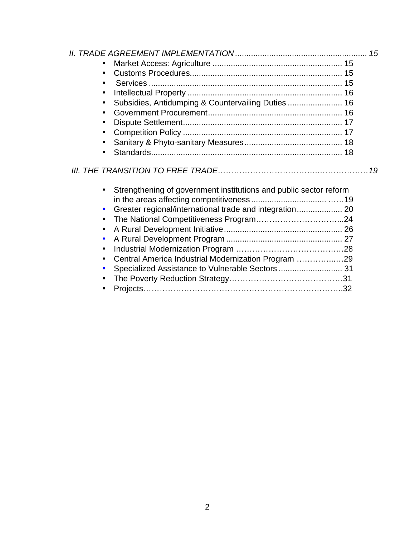| $\bullet$                                                                      |  |
|--------------------------------------------------------------------------------|--|
| $\bullet$                                                                      |  |
| $\bullet$                                                                      |  |
| $\bullet$                                                                      |  |
| Subsidies, Antidumping & Countervailing Duties 16<br>$\bullet$                 |  |
| $\bullet$                                                                      |  |
| $\bullet$                                                                      |  |
| $\bullet$                                                                      |  |
| $\bullet$                                                                      |  |
| $\bullet$                                                                      |  |
|                                                                                |  |
| Strengthening of government institutions and public sector reform<br>$\bullet$ |  |
|                                                                                |  |
| Greater regional/international trade and integration 20<br>$\bullet$           |  |

| • Central America Industrial Modernization Program 29 |  |
|-------------------------------------------------------|--|
| • Specialized Assistance to Vulnerable Sectors  31    |  |
|                                                       |  |
|                                                       |  |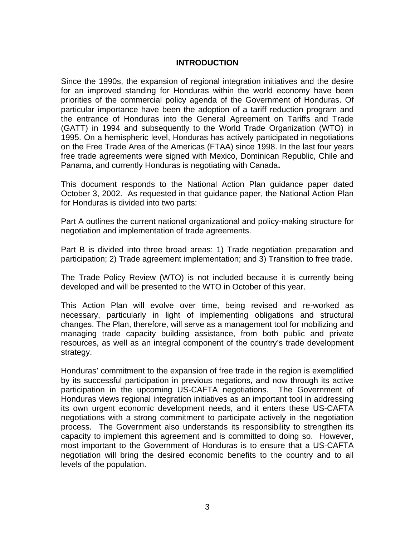#### **INTRODUCTION**

Since the 1990s, the expansion of regional integration initiatives and the desire for an improved standing for Honduras within the world economy have been priorities of the commercial policy agenda of the Government of Honduras. Of particular importance have been the adoption of a tariff reduction program and the entrance of Honduras into the General Agreement on Tariffs and Trade (GATT) in 1994 and subsequently to the World Trade Organization (WTO) in 1995. On a hemispheric level, Honduras has actively participated in negotiations on the Free Trade Area of the Americas (FTAA) since 1998. In the last four years free trade agreements were signed with Mexico, Dominican Republic, Chile and Panama, and currently Honduras is negotiating with Canada**.**

This document responds to the National Action Plan guidance paper dated October 3, 2002. As requested in that guidance paper, the National Action Plan for Honduras is divided into two parts:

Part A outlines the current national organizational and policy-making structure for negotiation and implementation of trade agreements.

Part B is divided into three broad areas: 1) Trade negotiation preparation and participation; 2) Trade agreement implementation; and 3) Transition to free trade.

The Trade Policy Review (WTO) is not included because it is currently being developed and will be presented to the WTO in October of this year.

This Action Plan will evolve over time, being revised and re-worked as necessary, particularly in light of implementing obligations and structural changes. The Plan, therefore, will serve as a management tool for mobilizing and managing trade capacity building assistance, from both public and private resources, as well as an integral component of the country's trade development strategy.

Honduras' commitment to the expansion of free trade in the region is exemplified by its successful participation in previous negations, and now through its active participation in the upcoming US-CAFTA negotiations. The Government of Honduras views regional integration initiatives as an important tool in addressing its own urgent economic development needs, and it enters these US-CAFTA negotiations with a strong commitment to participate actively in the negotiation process. The Government also understands its responsibility to strengthen its capacity to implement this agreement and is committed to doing so. However, most important to the Government of Honduras is to ensure that a US-CAFTA negotiation will bring the desired economic benefits to the country and to all levels of the population.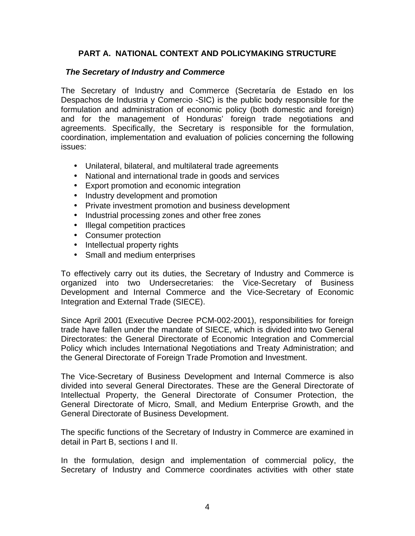# **PART A. NATIONAL CONTEXT AND POLICYMAKING STRUCTURE**

#### *The Secretary of Industry and Commerce*

The Secretary of Industry and Commerce (Secretaría de Estado en los Despachos de Industria y Comercio -SIC) is the public body responsible for the formulation and administration of economic policy (both domestic and foreign) and for the management of Honduras' foreign trade negotiations and agreements. Specifically, the Secretary is responsible for the formulation, coordination, implementation and evaluation of policies concerning the following issues:

- Unilateral, bilateral, and multilateral trade agreements
- National and international trade in goods and services
- Export promotion and economic integration
- Industry development and promotion
- Private investment promotion and business development
- Industrial processing zones and other free zones
- Illegal competition practices
- Consumer protection
- Intellectual property rights
- Small and medium enterprises

To effectively carry out its duties, the Secretary of Industry and Commerce is organized into two Undersecretaries: the Vice-Secretary of Business Development and Internal Commerce and the Vice-Secretary of Economic Integration and External Trade (SIECE).

Since April 2001 (Executive Decree PCM-002-2001), responsibilities for foreign trade have fallen under the mandate of SIECE, which is divided into two General Directorates: the General Directorate of Economic Integration and Commercial Policy which includes International Negotiations and Treaty Administration; and the General Directorate of Foreign Trade Promotion and Investment.

The Vice-Secretary of Business Development and Internal Commerce is also divided into several General Directorates. These are the General Directorate of Intellectual Property, the General Directorate of Consumer Protection, the General Directorate of Micro, Small, and Medium Enterprise Growth, and the General Directorate of Business Development.

The specific functions of the Secretary of Industry in Commerce are examined in detail in Part B, sections I and II.

In the formulation, design and implementation of commercial policy, the Secretary of Industry and Commerce coordinates activities with other state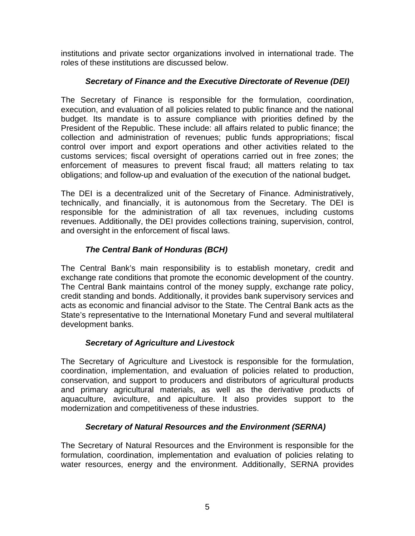institutions and private sector organizations involved in international trade. The roles of these institutions are discussed below.

# *Secretary of Finance and the Executive Directorate of Revenue (DEI)*

The Secretary of Finance is responsible for the formulation, coordination, execution, and evaluation of all policies related to public finance and the national budget. Its mandate is to assure compliance with priorities defined by the President of the Republic. These include: all affairs related to public finance; the collection and administration of revenues; public funds appropriations; fiscal control over import and export operations and other activities related to the customs services; fiscal oversight of operations carried out in free zones; the enforcement of measures to prevent fiscal fraud; all matters relating to tax obligations; and follow-up and evaluation of the execution of the national budget**.**

The DEI is a decentralized unit of the Secretary of Finance. Administratively, technically, and financially, it is autonomous from the Secretary. The DEI is responsible for the administration of all tax revenues, including customs revenues. Additionally, the DEI provides collections training, supervision, control, and oversight in the enforcement of fiscal laws.

# *The Central Bank of Honduras (BCH)*

The Central Bank's main responsibility is to establish monetary, credit and exchange rate conditions that promote the economic development of the country. The Central Bank maintains control of the money supply, exchange rate policy, credit standing and bonds. Additionally, it provides bank supervisory services and acts as economic and financial advisor to the State. The Central Bank acts as the State's representative to the International Monetary Fund and several multilateral development banks.

# *Secretary of Agriculture and Livestock*

The Secretary of Agriculture and Livestock is responsible for the formulation, coordination, implementation, and evaluation of policies related to production, conservation, and support to producers and distributors of agricultural products and primary agricultural materials, as well as the derivative products of aquaculture, aviculture, and apiculture. It also provides support to the modernization and competitiveness of these industries.

# *Secretary of Natural Resources and the Environment (SERNA)*

The Secretary of Natural Resources and the Environment is responsible for the formulation, coordination, implementation and evaluation of policies relating to water resources, energy and the environment. Additionally, SERNA provides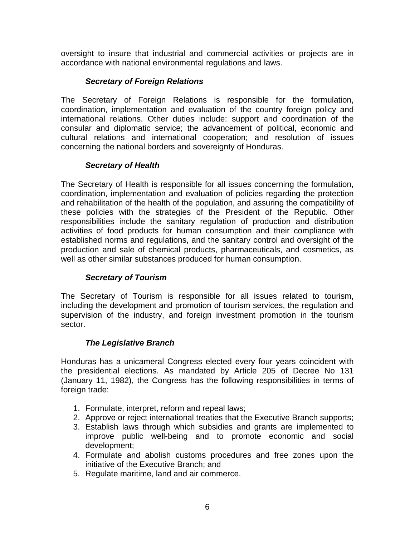oversight to insure that industrial and commercial activities or projects are in accordance with national environmental regulations and laws.

## *Secretary of Foreign Relations*

The Secretary of Foreign Relations is responsible for the formulation, coordination, implementation and evaluation of the country foreign policy and international relations. Other duties include: support and coordination of the consular and diplomatic service; the advancement of political, economic and cultural relations and international cooperation; and resolution of issues concerning the national borders and sovereignty of Honduras.

# *Secretary of Health*

The Secretary of Health is responsible for all issues concerning the formulation, coordination, implementation and evaluation of policies regarding the protection and rehabilitation of the health of the population, and assuring the compatibility of these policies with the strategies of the President of the Republic. Other responsibilities include the sanitary regulation of production and distribution activities of food products for human consumption and their compliance with established norms and regulations, and the sanitary control and oversight of the production and sale of chemical products, pharmaceuticals, and cosmetics, as well as other similar substances produced for human consumption.

# *Secretary of Tourism*

The Secretary of Tourism is responsible for all issues related to tourism, including the development and promotion of tourism services, the regulation and supervision of the industry, and foreign investment promotion in the tourism sector.

# *The Legislative Branch*

Honduras has a unicameral Congress elected every four years coincident with the presidential elections. As mandated by Article 205 of Decree No 131 (January 11, 1982), the Congress has the following responsibilities in terms of foreign trade:

- 1. Formulate, interpret, reform and repeal laws;
- 2. Approve or reject international treaties that the Executive Branch supports;
- 3. Establish laws through which subsidies and grants are implemented to improve public well-being and to promote economic and social development;
- 4. Formulate and abolish customs procedures and free zones upon the initiative of the Executive Branch; and
- 5. Regulate maritime, land and air commerce.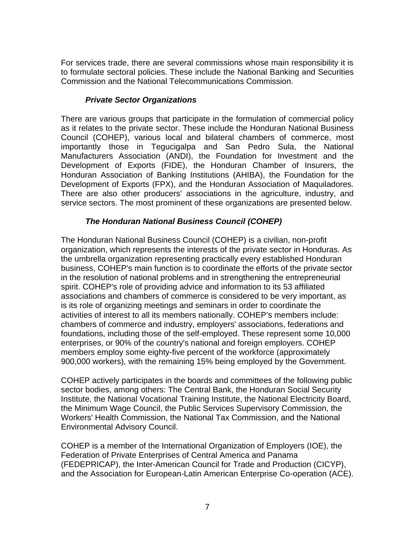For services trade, there are several commissions whose main responsibility it is to formulate sectoral policies. These include the National Banking and Securities Commission and the National Telecommunications Commission.

## *Private Sector Organizations*

There are various groups that participate in the formulation of commercial policy as it relates to the private sector. These include the Honduran National Business Council (COHEP), various local and bilateral chambers of commerce, most importantly those in Tegucigalpa and San Pedro Sula, the National Manufacturers Association (ANDI), the Foundation for Investment and the Development of Exports (FIDE), the Honduran Chamber of Insurers, the Honduran Association of Banking Institutions (AHIBA), the Foundation for the Development of Exports (FPX), and the Honduran Association of Maquiladores. There are also other producers' associations in the agriculture, industry, and service sectors. The most prominent of these organizations are presented below.

# *The Honduran National Business Council (COHEP)*

The Honduran National Business Council (COHEP) is a civilian, non-profit organization, which represents the interests of the private sector in Honduras. As the umbrella organization representing practically every established Honduran business, COHEP's main function is to coordinate the efforts of the private sector in the resolution of national problems and in strengthening the entrepreneurial spirit. COHEP's role of providing advice and information to its 53 affiliated associations and chambers of commerce is considered to be very important, as is its role of organizing meetings and seminars in order to coordinate the activities of interest to all its members nationally. COHEP's members include: chambers of commerce and industry, employers' associations, federations and foundations, including those of the self-employed. These represent some 10,000 enterprises, or 90% of the country's national and foreign employers. COHEP members employ some eighty-five percent of the workforce (approximately 900,000 workers), with the remaining 15% being employed by the Government.

COHEP actively participates in the boards and committees of the following public sector bodies, among others: The Central Bank, the Honduran Social Security Institute, the National Vocational Training Institute, the National Electricity Board, the Minimum Wage Council, the Public Services Supervisory Commission, the Workers' Health Commission, the National Tax Commission, and the National Environmental Advisory Council.

COHEP is a member of the International Organization of Employers (IOE), the Federation of Private Enterprises of Central America and Panama (FEDEPRICAP), the Inter-American Council for Trade and Production (CICYP), and the Association for European-Latin American Enterprise Co-operation (ACE).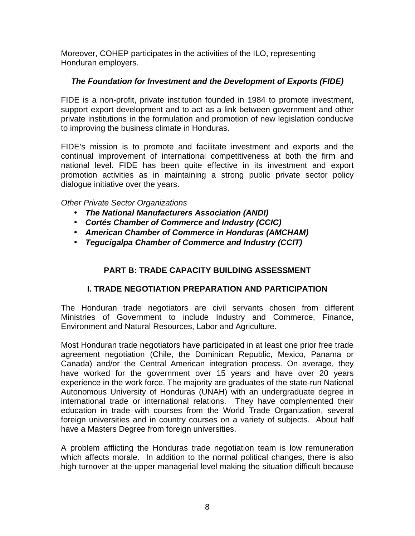Moreover, COHEP participates in the activities of the ILO, representing Honduran employers.

# *The Foundation for Investment and the Development of Exports (FIDE)*

FIDE is a non-profit, private institution founded in 1984 to promote investment, support export development and to act as a link between government and other private institutions in the formulation and promotion of new legislation conducive to improving the business climate in Honduras.

FIDE's mission is to promote and facilitate investment and exports and the continual improvement of international competitiveness at both the firm and national level. FIDE has been quite effective in its investment and export promotion activities as in maintaining a strong public private sector policy dialogue initiative over the years.

# *Other Private Sector Organizations*

- *The National Manufacturers Association (ANDI)*
- *Cortés Chamber of Commerce and Industry (CCIC)*
- *American Chamber of Commerce in Honduras (AMCHAM)*
- *Tegucigalpa Chamber of Commerce and Industry (CCIT)*

# **PART B: TRADE CAPACITY BUILDING ASSESSMENT**

# **I. TRADE NEGOTIATION PREPARATION AND PARTICIPATION**

The Honduran trade negotiators are civil servants chosen from different Ministries of Government to include Industry and Commerce, Finance, Environment and Natural Resources, Labor and Agriculture.

Most Honduran trade negotiators have participated in at least one prior free trade agreement negotiation (Chile, the Dominican Republic, Mexico, Panama or Canada) and/or the Central American integration process. On average, they have worked for the government over 15 years and have over 20 years experience in the work force. The majority are graduates of the state-run National Autonomous University of Honduras (UNAH) with an undergraduate degree in international trade or international relations. They have complemented their education in trade with courses from the World Trade Organization, several foreign universities and in country courses on a variety of subjects. About half have a Masters Degree from foreign universities.

A problem afflicting the Honduras trade negotiation team is low remuneration which affects morale. In addition to the normal political changes, there is also high turnover at the upper managerial level making the situation difficult because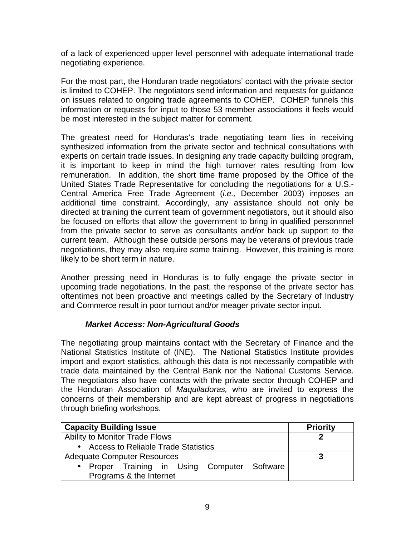of a lack of experienced upper level personnel with adequate international trade negotiating experience.

For the most part, the Honduran trade negotiators' contact with the private sector is limited to COHEP. The negotiators send information and requests for guidance on issues related to ongoing trade agreements to COHEP. COHEP funnels this information or requests for input to those 53 member associations it feels would be most interested in the subject matter for comment.

The greatest need for Honduras's trade negotiating team lies in receiving synthesized information from the private sector and technical consultations with experts on certain trade issues. In designing any trade capacity building program, it is important to keep in mind the high turnover rates resulting from low remuneration. In addition, the short time frame proposed by the Office of the United States Trade Representative for concluding the negotiations for a U.S.- Central America Free Trade Agreement (*i.e.*, December 2003) imposes an additional time constraint. Accordingly, any assistance should not only be directed at training the current team of government negotiators, but it should also be focused on efforts that allow the government to bring in qualified personnnel from the private sector to serve as consultants and/or back up support to the current team. Although these outside persons may be veterans of previous trade negotiations, they may also require some training. However, this training is more likely to be short term in nature.

Another pressing need in Honduras is to fully engage the private sector in upcoming trade negotiations. In the past, the response of the private sector has oftentimes not been proactive and meetings called by the Secretary of Industry and Commerce result in poor turnout and/or meager private sector input.

# *Market Access: Non-Agricultural Goods*

The negotiating group maintains contact with the Secretary of Finance and the National Statistics Institute of (INE). The National Statistics Institute provides import and export statistics, although this data is not necessarily compatible with trade data maintained by the Central Bank nor the National Customs Service. The negotiators also have contacts with the private sector through COHEP and the Honduran Association of *Maquiladoras,* who are invited to express the concerns of their membership and are kept abreast of progress in negotiations through briefing workshops.

| <b>Capacity Building Issue</b>               | <b>Priority</b> |
|----------------------------------------------|-----------------|
| Ability to Monitor Trade Flows               |                 |
| • Access to Reliable Trade Statistics        |                 |
| <b>Adequate Computer Resources</b>           |                 |
| • Proper Training in Using Computer Software |                 |
| Programs & the Internet                      |                 |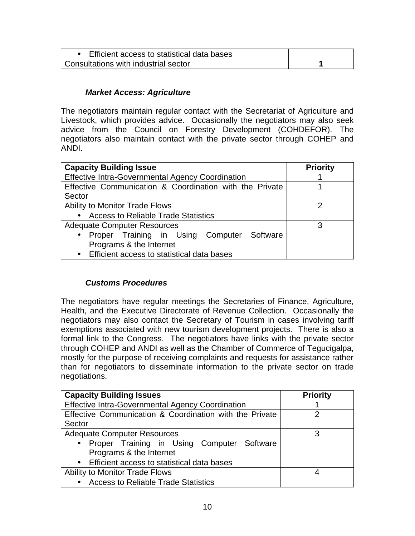| Efficient access to statistical data bases |  |
|--------------------------------------------|--|
| Consultations with industrial sector       |  |

# *Market Access: Agriculture*

The negotiators maintain regular contact with the Secretariat of Agriculture and Livestock, which provides advice. Occasionally the negotiators may also seek advice from the Council on Forestry Development (COHDEFOR). The negotiators also maintain contact with the private sector through COHEP and ANDI.

| <b>Capacity Building Issue</b>                          | <b>Priority</b> |
|---------------------------------------------------------|-----------------|
| <b>Effective Intra-Governmental Agency Coordination</b> |                 |
| Effective Communication & Coordination with the Private |                 |
| Sector                                                  |                 |
| Ability to Monitor Trade Flows                          |                 |
| <b>Access to Reliable Trade Statistics</b>              |                 |
| <b>Adequate Computer Resources</b>                      | 3               |
| • Proper Training in Using Computer Software            |                 |
| Programs & the Internet                                 |                 |
| • Efficient access to statistical data bases            |                 |

# *Customs Procedures*

The negotiators have regular meetings the Secretaries of Finance, Agriculture, Health, and the Executive Directorate of Revenue Collection. Occasionally the negotiators may also contact the Secretary of Tourism in cases involving tariff exemptions associated with new tourism development projects. There is also a formal link to the Congress. The negotiators have links with the private sector through COHEP and ANDI as well as the Chamber of Commerce of Tegucigalpa, mostly for the purpose of receiving complaints and requests for assistance rather than for negotiators to disseminate information to the private sector on trade negotiations.

| <b>Capacity Building Issues</b>                         | <b>Priority</b> |
|---------------------------------------------------------|-----------------|
| <b>Effective Intra-Governmental Agency Coordination</b> |                 |
| Effective Communication & Coordination with the Private | 2               |
| Sector                                                  |                 |
| <b>Adequate Computer Resources</b>                      | 3               |
| • Proper Training in Using Computer Software            |                 |
| Programs & the Internet                                 |                 |
| • Efficient access to statistical data bases            |                 |
| <b>Ability to Monitor Trade Flows</b>                   |                 |
| • Access to Reliable Trade Statistics                   |                 |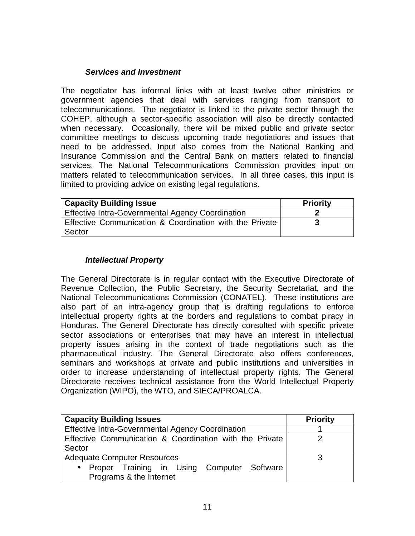#### *Services and Investment*

The negotiator has informal links with at least twelve other ministries or government agencies that deal with services ranging from transport to telecommunications. The negotiator is linked to the private sector through the COHEP, although a sector-specific association will also be directly contacted when necessary. Occasionally, there will be mixed public and private sector committee meetings to discuss upcoming trade negotiations and issues that need to be addressed. Input also comes from the National Banking and Insurance Commission and the Central Bank on matters related to financial services. The National Telecommunications Commission provides input on matters related to telecommunication services. In all three cases, this input is limited to providing advice on existing legal regulations.

| <b>Capacity Building Issue</b>                                    | <b>Priority</b> |
|-------------------------------------------------------------------|-----------------|
| <b>Effective Intra-Governmental Agency Coordination</b>           |                 |
| Effective Communication & Coordination with the Private<br>Sector |                 |

### *Intellectual Property*

The General Directorate is in regular contact with the Executive Directorate of Revenue Collection, the Public Secretary, the Security Secretariat, and the National Telecommunications Commission (CONATEL). These institutions are also part of an intra-agency group that is drafting regulations to enforce intellectual property rights at the borders and regulations to combat piracy in Honduras. The General Directorate has directly consulted with specific private sector associations or enterprises that may have an interest in intellectual property issues arising in the context of trade negotiations such as the pharmaceutical industry. The General Directorate also offers conferences, seminars and workshops at private and public institutions and universities in order to increase understanding of intellectual property rights. The General Directorate receives technical assistance from the World Intellectual Property Organization (WIPO), the WTO, and SIECA/PROALCA.

| <b>Capacity Building Issues</b>                                   | <b>Priority</b> |
|-------------------------------------------------------------------|-----------------|
| <b>Effective Intra-Governmental Agency Coordination</b>           |                 |
| Effective Communication & Coordination with the Private<br>Sector |                 |
| <b>Adequate Computer Resources</b>                                | 3               |
| Proper Training in Using Computer Software<br>$\bullet$           |                 |
| Programs & the Internet                                           |                 |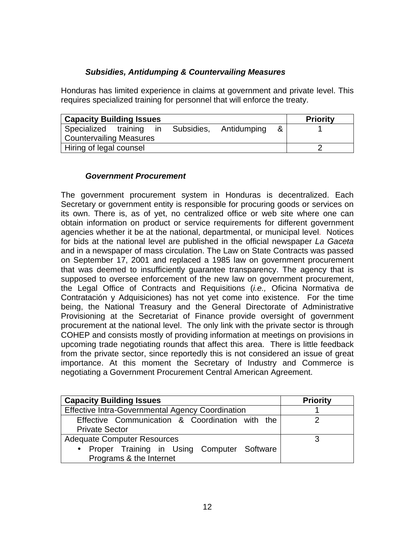## *Subsidies, Antidumping & Countervailing Measures*

Honduras has limited experience in claims at government and private level. This requires specialized training for personnel that will enforce the treaty.

| <b>Capacity Building Issues</b> |                             | <b>Priority</b> |
|---------------------------------|-----------------------------|-----------------|
| Specialized training in         | Subsidies, Antidumping<br>& |                 |
| <b>Countervailing Measures</b>  |                             |                 |
| Hiring of legal counsel         |                             |                 |

#### *Government Procurement*

The government procurement system in Honduras is decentralized. Each Secretary or government entity is responsible for procuring goods or services on its own. There is, as of yet, no centralized office or web site where one can obtain information on product or service requirements for different government agencies whether it be at the national, departmental, or municipal level. Notices for bids at the national level are published in the official newspaper *La Gaceta* and in a newspaper of mass circulation. The Law on State Contracts was passed on September 17, 2001 and replaced a 1985 law on government procurement that was deemed to insufficiently guarantee transparency. The agency that is supposed to oversee enforcement of the new law on government procurement, the Legal Office of Contracts and Requisitions (*i.e.,* Oficina Normativa de Contratación y Adquisiciones) has not yet come into existence. For the time being, the National Treasury and the General Directorate of Administrative Provisioning at the Secretariat of Finance provide oversight of government procurement at the national level. The only link with the private sector is through COHEP and consists mostly of providing information at meetings on provisions in upcoming trade negotiating rounds that affect this area. There is little feedback from the private sector, since reportedly this is not considered an issue of great importance. At this moment the Secretary of Industry and Commerce is negotiating a Government Procurement Central American Agreement.

| <b>Capacity Building Issues</b>                         | <b>Priority</b> |
|---------------------------------------------------------|-----------------|
| <b>Effective Intra-Governmental Agency Coordination</b> |                 |
| Effective Communication & Coordination with the         |                 |
| <b>Private Sector</b>                                   |                 |
| <b>Adequate Computer Resources</b>                      |                 |
| • Proper Training in Using Computer Software            |                 |
| Programs & the Internet                                 |                 |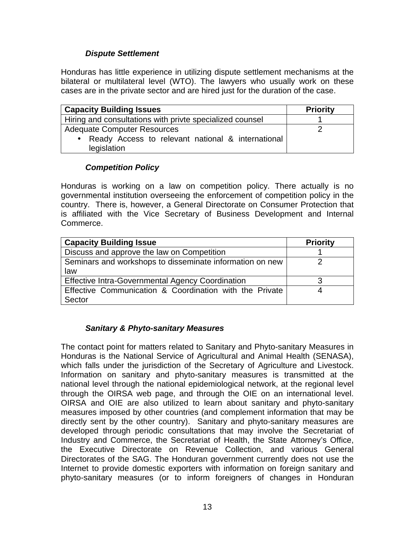# *Dispute Settlement*

Honduras has little experience in utilizing dispute settlement mechanisms at the bilateral or multilateral level (WTO). The lawyers who usually work on these cases are in the private sector and are hired just for the duration of the case.

| <b>Capacity Building Issues</b>                                    | <b>Priority</b> |
|--------------------------------------------------------------------|-----------------|
| Hiring and consultations with privte specialized counsel           |                 |
| <b>Adequate Computer Resources</b>                                 |                 |
| • Ready Access to relevant national & international<br>legislation |                 |

# *Competition Policy*

Honduras is working on a law on competition policy. There actually is no governmental institution overseeing the enforcement of competition policy in the country. There is, however, a General Directorate on Consumer Protection that is affiliated with the Vice Secretary of Business Development and Internal Commerce.

| <b>Capacity Building Issue</b>                           | <b>Priority</b> |
|----------------------------------------------------------|-----------------|
| Discuss and approve the law on Competition               |                 |
| Seminars and workshops to disseminate information on new |                 |
| law                                                      |                 |
| Effective Intra-Governmental Agency Coordination         |                 |
| Effective Communication & Coordination with the Private  |                 |
| Sector                                                   |                 |

# *Sanitary & Phyto-sanitary Measures*

The contact point for matters related to Sanitary and Phyto-sanitary Measures in Honduras is the National Service of Agricultural and Animal Health (SENASA), which falls under the jurisdiction of the Secretary of Agriculture and Livestock. Information on sanitary and phyto-sanitary measures is transmitted at the national level through the national epidemiological network, at the regional level through the OIRSA web page, and through the OIE on an international level. OIRSA and OIE are also utilized to learn about sanitary and phyto-sanitary measures imposed by other countries (and complement information that may be directly sent by the other country). Sanitary and phyto-sanitary measures are developed through periodic consultations that may involve the Secretariat of Industry and Commerce, the Secretariat of Health, the State Attorney's Office, the Executive Directorate on Revenue Collection, and various General Directorates of the SAG. The Honduran government currently does not use the Internet to provide domestic exporters with information on foreign sanitary and phyto-sanitary measures (or to inform foreigners of changes in Honduran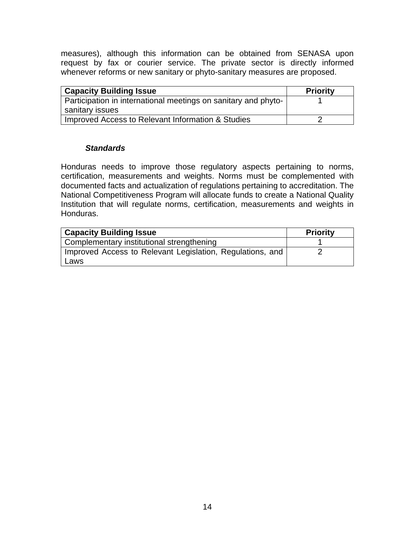measures), although this information can be obtained from SENASA upon request by fax or courier service. The private sector is directly informed whenever reforms or new sanitary or phyto-sanitary measures are proposed.

| <b>Capacity Building Issue</b>                                 | <b>Priority</b> |
|----------------------------------------------------------------|-----------------|
| Participation in international meetings on sanitary and phyto- |                 |
| sanitary issues                                                |                 |
| Improved Access to Relevant Information & Studies              |                 |

#### *Standards*

Honduras needs to improve those regulatory aspects pertaining to norms, certification, measurements and weights. Norms must be complemented with documented facts and actualization of regulations pertaining to accreditation. The National Competitiveness Program will allocate funds to create a National Quality Institution that will regulate norms, certification, measurements and weights in Honduras.

| <b>Capacity Building Issue</b>                                    | <b>Priority</b> |
|-------------------------------------------------------------------|-----------------|
| Complementary institutional strengthening                         |                 |
| Improved Access to Relevant Legislation, Regulations, and<br>Laws |                 |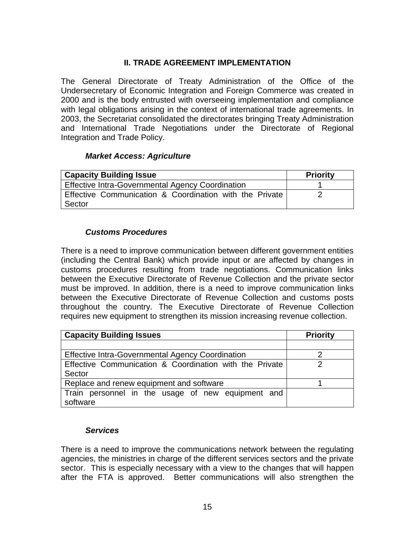# **II. TRADE AGREEMENT IMPLEMENTATION**

The General Directorate of Treaty Administration of the Office of the Undersecretary of Economic Integration and Foreign Commerce was created in 2000 and is the body entrusted with overseeing implementation and compliance with legal obligations arising in the context of international trade agreements. In 2003, the Secretariat consolidated the directorates bringing Treaty Administration and International Trade Negotiations under the Directorate of Regional Integration and Trade Policy.

#### *Market Access: Agriculture*

| <b>Capacity Building Issue</b>                                    | <b>Priority</b> |
|-------------------------------------------------------------------|-----------------|
| Effective Intra-Governmental Agency Coordination                  |                 |
| Effective Communication & Coordination with the Private<br>Sector |                 |

### *Customs Procedures*

There is a need to improve communication between different government entities (including the Central Bank) which provide input or are affected by changes in customs procedures resulting from trade negotiations. Communication links between the Executive Directorate of Revenue Collection and the private sector must be improved. In addition, there is a need to improve communication links between the Executive Directorate of Revenue Collection and customs posts throughout the country. The Executive Directorate of Revenue Collection requires new equipment to strengthen its mission increasing revenue collection.

| <b>Capacity Building Issues</b>                         | <b>Priority</b> |
|---------------------------------------------------------|-----------------|
|                                                         |                 |
| <b>Effective Intra-Governmental Agency Coordination</b> |                 |
| Effective Communication & Coordination with the Private | っ               |
| Sector                                                  |                 |
| Replace and renew equipment and software                |                 |
| Train personnel in the usage of new equipment and       |                 |
| software                                                |                 |

#### *Services*

There is a need to improve the communications network between the regulating agencies, the ministries in charge of the different services sectors and the private sector. This is especially necessary with a view to the changes that will happen after the FTA is approved. Better communications will also strengthen the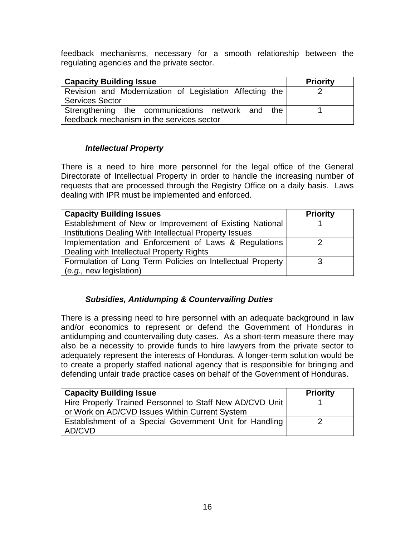feedback mechanisms, necessary for a smooth relationship between the regulating agencies and the private sector.

| <b>Capacity Building Issue</b>                          | <b>Priority</b> |
|---------------------------------------------------------|-----------------|
| Revision and Modernization of Legislation Affecting the |                 |
| <b>Services Sector</b>                                  |                 |
| Strengthening the communications network and the        |                 |
| feedback mechanism in the services sector               |                 |

#### *Intellectual Property*

There is a need to hire more personnel for the legal office of the General Directorate of Intellectual Property in order to handle the increasing number of requests that are processed through the Registry Office on a daily basis. Laws dealing with IPR must be implemented and enforced.

| <b>Capacity Building Issues</b>                            | <b>Priority</b> |
|------------------------------------------------------------|-----------------|
| Establishment of New or Improvement of Existing National   |                 |
| Institutions Dealing With Intellectual Property Issues     |                 |
| Implementation and Enforcement of Laws & Regulations       |                 |
| Dealing with Intellectual Property Rights                  |                 |
| Formulation of Long Term Policies on Intellectual Property |                 |
| (e.g., new legislation)                                    |                 |

# *Subsidies, Antidumping & Countervailing Duties*

There is a pressing need to hire personnel with an adequate background in law and/or economics to represent or defend the Government of Honduras in antidumping and countervailing duty cases. As a short-term measure there may also be a necessity to provide funds to hire lawyers from the private sector to adequately represent the interests of Honduras. A longer-term solution would be to create a properly staffed national agency that is responsible for bringing and defending unfair trade practice cases on behalf of the Government of Honduras.

| <b>Capacity Building Issue</b>                           | <b>Priority</b> |
|----------------------------------------------------------|-----------------|
| Hire Properly Trained Personnel to Staff New AD/CVD Unit |                 |
| or Work on AD/CVD Issues Within Current System           |                 |
| Establishment of a Special Government Unit for Handling  |                 |
| AD/CVD                                                   |                 |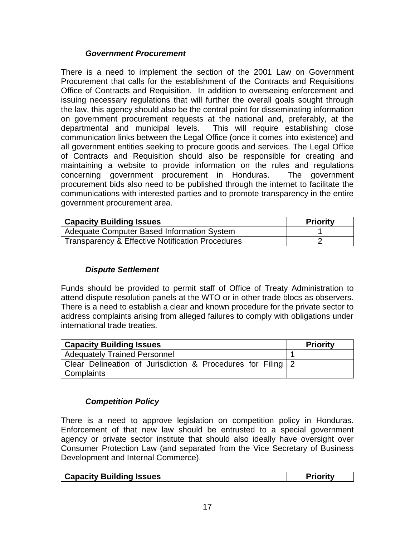#### *Government Procurement*

There is a need to implement the section of the 2001 Law on Government Procurement that calls for the establishment of the Contracts and Requisitions Office of Contracts and Requisition. In addition to overseeing enforcement and issuing necessary regulations that will further the overall goals sought through the law, this agency should also be the central point for disseminating information on government procurement requests at the national and, preferably, at the departmental and municipal levels. This will require establishing close communication links between the Legal Office (once it comes into existence) and all government entities seeking to procure goods and services. The Legal Office of Contracts and Requisition should also be responsible for creating and maintaining a website to provide information on the rules and regulations concerning government procurement in Honduras. The government procurement bids also need to be published through the internet to facilitate the communications with interested parties and to promote transparency in the entire government procurement area.

| <b>Capacity Building Issues</b>                  | <b>Priority</b> |
|--------------------------------------------------|-----------------|
| Adequate Computer Based Information System       |                 |
| Transparency & Effective Notification Procedures |                 |

# *Dispute Settlement*

Funds should be provided to permit staff of Office of Treaty Administration to attend dispute resolution panels at the WTO or in other trade blocs as observers. There is a need to establish a clear and known procedure for the private sector to address complaints arising from alleged failures to comply with obligations under international trade treaties.

| <b>Capacity Building Issues</b>                             | <b>Priority</b> |
|-------------------------------------------------------------|-----------------|
| <b>Adequately Trained Personnel</b>                         |                 |
| Clear Delineation of Jurisdiction & Procedures for Filing 2 |                 |
| Complaints                                                  |                 |

# *Competition Policy*

There is a need to approve legislation on competition policy in Honduras. Enforcement of that new law should be entrusted to a special government agency or private sector institute that should also ideally have oversight over Consumer Protection Law (and separated from the Vice Secretary of Business Development and Internal Commerce).

| <b>Capacity Building Issues</b><br>ਾrioritv |
|---------------------------------------------|
|---------------------------------------------|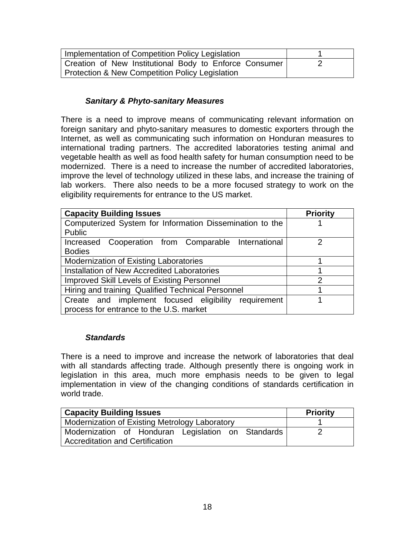| Implementation of Competition Policy Legislation       |  |
|--------------------------------------------------------|--|
| Creation of New Institutional Body to Enforce Consumer |  |
| Protection & New Competition Policy Legislation        |  |

### *Sanitary & Phyto-sanitary Measures*

There is a need to improve means of communicating relevant information on foreign sanitary and phyto-sanitary measures to domestic exporters through the Internet, as well as communicating such information on Honduran measures to international trading partners. The accredited laboratories testing animal and vegetable health as well as food health safety for human consumption need to be modernized. There is a need to increase the number of accredited laboratories, improve the level of technology utilized in these labs, and increase the training of lab workers. There also needs to be a more focused strategy to work on the eligibility requirements for entrance to the US market.

| <b>Capacity Building Issues</b>                          | <b>Priority</b> |
|----------------------------------------------------------|-----------------|
| Computerized System for Information Dissemination to the |                 |
| <b>Public</b>                                            |                 |
| Increased Cooperation from Comparable International      | າ               |
| <b>Bodies</b>                                            |                 |
| <b>Modernization of Existing Laboratories</b>            |                 |
| Installation of New Accredited Laboratories              |                 |
| <b>Improved Skill Levels of Existing Personnel</b>       | $\overline{2}$  |
| Hiring and training Qualified Technical Personnel        |                 |
| requirement<br>Create and implement focused eligibility  |                 |
| process for entrance to the U.S. market                  |                 |

#### *Standards*

There is a need to improve and increase the network of laboratories that deal with all standards affecting trade. Although presently there is ongoing work in legislation in this area, much more emphasis needs to be given to legal implementation in view of the changing conditions of standards certification in world trade.

| <b>Capacity Building Issues</b>                    | <b>Priority</b> |
|----------------------------------------------------|-----------------|
| Modernization of Existing Metrology Laboratory     |                 |
| Modernization of Honduran Legislation on Standards |                 |
| <b>Accreditation and Certification</b>             |                 |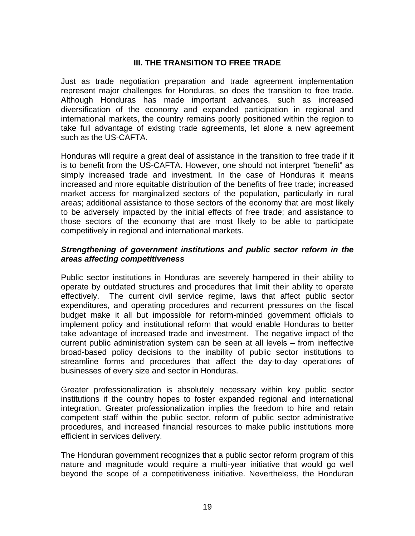# **III. THE TRANSITION TO FREE TRADE**

Just as trade negotiation preparation and trade agreement implementation represent major challenges for Honduras, so does the transition to free trade. Although Honduras has made important advances, such as increased diversification of the economy and expanded participation in regional and international markets, the country remains poorly positioned within the region to take full advantage of existing trade agreements, let alone a new agreement such as the US-CAFTA.

Honduras will require a great deal of assistance in the transition to free trade if it is to benefit from the US-CAFTA. However, one should not interpret "benefit" as simply increased trade and investment. In the case of Honduras it means increased and more equitable distribution of the benefits of free trade; increased market access for marginalized sectors of the population, particularly in rural areas; additional assistance to those sectors of the economy that are most likely to be adversely impacted by the initial effects of free trade; and assistance to those sectors of the economy that are most likely to be able to participate competitively in regional and international markets.

#### *Strengthening of government institutions and public sector reform in the areas affecting competitiveness*

Public sector institutions in Honduras are severely hampered in their ability to operate by outdated structures and procedures that limit their ability to operate effectively. The current civil service regime, laws that affect public sector expenditures, and operating procedures and recurrent pressures on the fiscal budget make it all but impossible for reform-minded government officials to implement policy and institutional reform that would enable Honduras to better take advantage of increased trade and investment. The negative impact of the current public administration system can be seen at all levels – from ineffective broad-based policy decisions to the inability of public sector institutions to streamline forms and procedures that affect the day-to-day operations of businesses of every size and sector in Honduras.

Greater professionalization is absolutely necessary within key public sector institutions if the country hopes to foster expanded regional and international integration. Greater professionalization implies the freedom to hire and retain competent staff within the public sector, reform of public sector administrative procedures, and increased financial resources to make public institutions more efficient in services delivery.

The Honduran government recognizes that a public sector reform program of this nature and magnitude would require a multi-year initiative that would go well beyond the scope of a competitiveness initiative. Nevertheless, the Honduran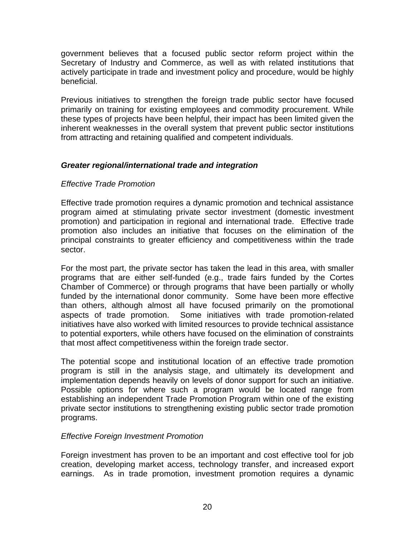government believes that a focused public sector reform project within the Secretary of Industry and Commerce, as well as with related institutions that actively participate in trade and investment policy and procedure, would be highly beneficial.

Previous initiatives to strengthen the foreign trade public sector have focused primarily on training for existing employees and commodity procurement. While these types of projects have been helpful, their impact has been limited given the inherent weaknesses in the overall system that prevent public sector institutions from attracting and retaining qualified and competent individuals.

### *Greater regional/international trade and integration*

### *Effective Trade Promotion*

Effective trade promotion requires a dynamic promotion and technical assistance program aimed at stimulating private sector investment (domestic investment promotion) and participation in regional and international trade. Effective trade promotion also includes an initiative that focuses on the elimination of the principal constraints to greater efficiency and competitiveness within the trade sector.

For the most part, the private sector has taken the lead in this area, with smaller programs that are either self-funded (e.g., trade fairs funded by the Cortes Chamber of Commerce) or through programs that have been partially or wholly funded by the international donor community. Some have been more effective than others, although almost all have focused primarily on the promotional aspects of trade promotion. Some initiatives with trade promotion-related initiatives have also worked with limited resources to provide technical assistance to potential exporters, while others have focused on the elimination of constraints that most affect competitiveness within the foreign trade sector.

The potential scope and institutional location of an effective trade promotion program is still in the analysis stage, and ultimately its development and implementation depends heavily on levels of donor support for such an initiative. Possible options for where such a program would be located range from establishing an independent Trade Promotion Program within one of the existing private sector institutions to strengthening existing public sector trade promotion programs.

#### *Effective Foreign Investment Promotion*

Foreign investment has proven to be an important and cost effective tool for job creation, developing market access, technology transfer, and increased export earnings. As in trade promotion, investment promotion requires a dynamic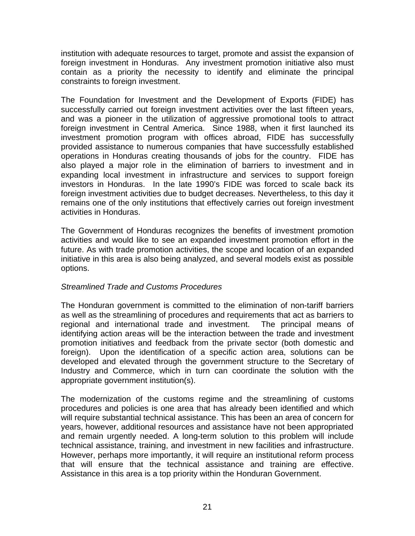institution with adequate resources to target, promote and assist the expansion of foreign investment in Honduras. Any investment promotion initiative also must contain as a priority the necessity to identify and eliminate the principal constraints to foreign investment.

The Foundation for Investment and the Development of Exports (FIDE) has successfully carried out foreign investment activities over the last fifteen years, and was a pioneer in the utilization of aggressive promotional tools to attract foreign investment in Central America. Since 1988, when it first launched its investment promotion program with offices abroad, FIDE has successfully provided assistance to numerous companies that have successfully established operations in Honduras creating thousands of jobs for the country. FIDE has also played a major role in the elimination of barriers to investment and in expanding local investment in infrastructure and services to support foreign investors in Honduras. In the late 1990's FIDE was forced to scale back its foreign investment activities due to budget decreases. Nevertheless, to this day it remains one of the only institutions that effectively carries out foreign investment activities in Honduras.

The Government of Honduras recognizes the benefits of investment promotion activities and would like to see an expanded investment promotion effort in the future. As with trade promotion activities, the scope and location of an expanded initiative in this area is also being analyzed, and several models exist as possible options.

# *Streamlined Trade and Customs Procedures*

The Honduran government is committed to the elimination of non-tariff barriers as well as the streamlining of procedures and requirements that act as barriers to regional and international trade and investment. The principal means of identifying action areas will be the interaction between the trade and investment promotion initiatives and feedback from the private sector (both domestic and foreign). Upon the identification of a specific action area, solutions can be developed and elevated through the government structure to the Secretary of Industry and Commerce, which in turn can coordinate the solution with the appropriate government institution(s).

The modernization of the customs regime and the streamlining of customs procedures and policies is one area that has already been identified and which will require substantial technical assistance. This has been an area of concern for years, however, additional resources and assistance have not been appropriated and remain urgently needed. A long-term solution to this problem will include technical assistance, training, and investment in new facilities and infrastructure. However, perhaps more importantly, it will require an institutional reform process that will ensure that the technical assistance and training are effective. Assistance in this area is a top priority within the Honduran Government.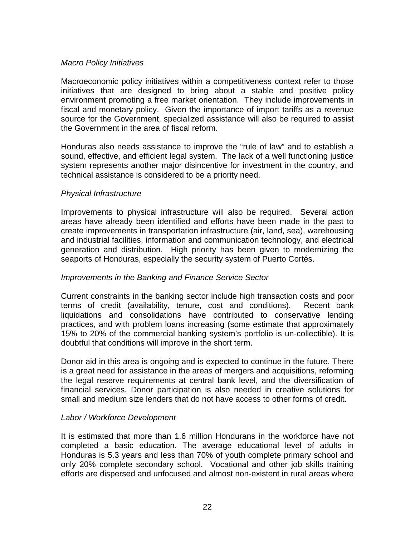#### *Macro Policy Initiatives*

Macroeconomic policy initiatives within a competitiveness context refer to those initiatives that are designed to bring about a stable and positive policy environment promoting a free market orientation. They include improvements in fiscal and monetary policy. Given the importance of import tariffs as a revenue source for the Government, specialized assistance will also be required to assist the Government in the area of fiscal reform.

Honduras also needs assistance to improve the "rule of law" and to establish a sound, effective, and efficient legal system. The lack of a well functioning justice system represents another major disincentive for investment in the country, and technical assistance is considered to be a priority need.

#### *Physical Infrastructure*

Improvements to physical infrastructure will also be required. Several action areas have already been identified and efforts have been made in the past to create improvements in transportation infrastructure (air, land, sea), warehousing and industrial facilities, information and communication technology, and electrical generation and distribution. High priority has been given to modernizing the seaports of Honduras, especially the security system of Puerto Cortés.

#### *Improvements in the Banking and Finance Service Sector*

Current constraints in the banking sector include high transaction costs and poor terms of credit (availability, tenure, cost and conditions). Recent bank liquidations and consolidations have contributed to conservative lending practices, and with problem loans increasing (some estimate that approximately 15% to 20% of the commercial banking system's portfolio is un-collectible). It is doubtful that conditions will improve in the short term.

Donor aid in this area is ongoing and is expected to continue in the future. There is a great need for assistance in the areas of mergers and acquisitions, reforming the legal reserve requirements at central bank level, and the diversification of financial services. Donor participation is also needed in creative solutions for small and medium size lenders that do not have access to other forms of credit.

#### *Labor / Workforce Development*

It is estimated that more than 1.6 million Hondurans in the workforce have not completed a basic education. The average educational level of adults in Honduras is 5.3 years and less than 70% of youth complete primary school and only 20% complete secondary school. Vocational and other job skills training efforts are dispersed and unfocused and almost non-existent in rural areas where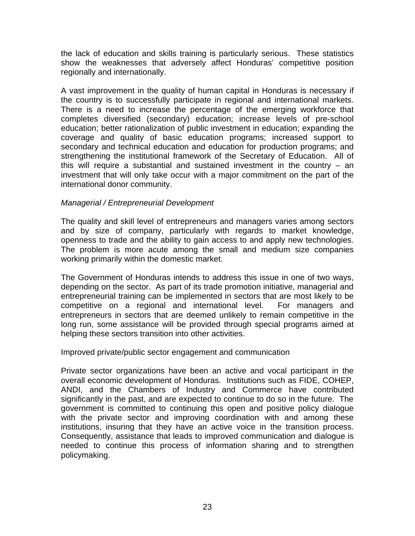the lack of education and skills training is particularly serious. These statistics show the weaknesses that adversely affect Honduras' competitive position regionally and internationally.

A vast improvement in the quality of human capital in Honduras is necessary if the country is to successfully participate in regional and international markets. There is a need to increase the percentage of the emerging workforce that completes diversified (secondary) education; increase levels of pre-school education; better rationalization of public investment in education; expanding the coverage and quality of basic education programs; increased support to secondary and technical education and education for production programs; and strengthening the institutional framework of the Secretary of Education. All of this will require a substantial and sustained investment in the country – an investment that will only take occur with a major commitment on the part of the international donor community.

#### *Managerial / Entrepreneurial Development*

The quality and skill level of entrepreneurs and managers varies among sectors and by size of company, particularly with regards to market knowledge, openness to trade and the ability to gain access to and apply new technologies. The problem is more acute among the small and medium size companies working primarily within the domestic market.

The Government of Honduras intends to address this issue in one of two ways, depending on the sector. As part of its trade promotion initiative, managerial and entrepreneurial training can be implemented in sectors that are most likely to be competitive on a regional and international level. For managers and entrepreneurs in sectors that are deemed unlikely to remain competitive in the long run, some assistance will be provided through special programs aimed at helping these sectors transition into other activities.

Improved private/public sector engagement and communication

Private sector organizations have been an active and vocal participant in the overall economic development of Honduras. Institutions such as FIDE, COHEP, ANDI, and the Chambers of Industry and Commerce have contributed significantly in the past, and are expected to continue to do so in the future. The government is committed to continuing this open and positive policy dialogue with the private sector and improving coordination with and among these institutions, insuring that they have an active voice in the transition process. Consequently, assistance that leads to improved communication and dialogue is needed to continue this process of information sharing and to strengthen policymaking.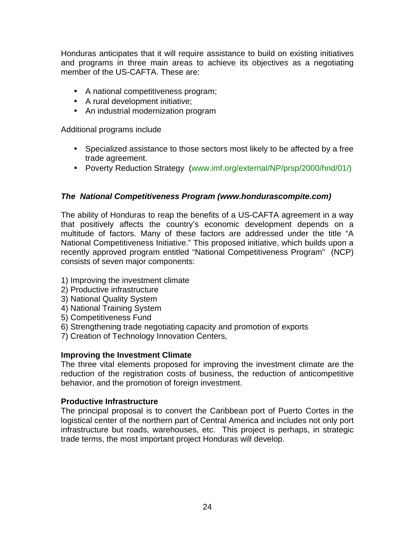Honduras anticipates that it will require assistance to build on existing initiatives and programs in three main areas to achieve its objectives as a negotiating member of the US-CAFTA. These are:

- A national competitiveness program;
- A rural development initiative;
- An industrial modernization program

Additional programs include

- Specialized assistance to those sectors most likely to be affected by a free trade agreement.
- Poverty Reduction Strategy (www.imf.org/external/NP/prsp/2000/hnd/01/)

### *The National Competitiveness Program (www.hondurascompite.com)*

The ability of Honduras to reap the benefits of a US-CAFTA agreement in a way that positively affects the country's economic development depends on a multitude of factors. Many of these factors are addressed under the title "A National Competitiveness Initiative." This proposed initiative, which builds upon a recently approved program entitled "National Competitiveness Program" (NCP) consists of seven major components:

- 1) Improving the investment climate
- 2) Productive infrastructure
- 3) National Quality System
- 4) National Training System
- 5) Competitiveness Fund
- 6) Strengthening trade negotiating capacity and promotion of exports
- 7) Creation of Technology Innovation Centers,

#### **Improving the Investment Climate**

The three vital elements proposed for improving the investment climate are the reduction of the registration costs of business, the reduction of anticompetitive behavior, and the promotion of foreign investment.

#### **Productive Infrastructure**

The principal proposal is to convert the Caribbean port of Puerto Cortes in the logistical center of the northern part of Central America and includes not only port infrastructure but roads, warehouses, etc. This project is perhaps, in strategic trade terms, the most important project Honduras will develop.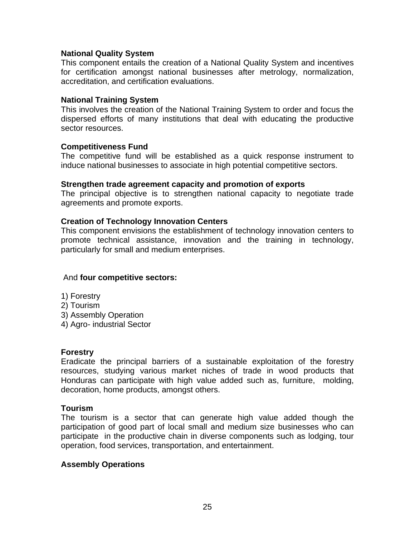#### **National Quality System**

This component entails the creation of a National Quality System and incentives for certification amongst national businesses after metrology, normalization, accreditation, and certification evaluations.

#### **National Training System**

This involves the creation of the National Training System to order and focus the dispersed efforts of many institutions that deal with educating the productive sector resources.

#### **Competitiveness Fund**

The competitive fund will be established as a quick response instrument to induce national businesses to associate in high potential competitive sectors.

#### **Strengthen trade agreement capacity and promotion of exports**

The principal objective is to strengthen national capacity to negotiate trade agreements and promote exports.

#### **Creation of Technology Innovation Centers**

This component envisions the establishment of technology innovation centers to promote technical assistance, innovation and the training in technology, particularly for small and medium enterprises.

#### And **four competitive sectors:**

- 1) Forestry
- 2) Tourism
- 3) Assembly Operation
- 4) Agro- industrial Sector

#### **Forestry**

Eradicate the principal barriers of a sustainable exploitation of the forestry resources, studying various market niches of trade in wood products that Honduras can participate with high value added such as, furniture, molding, decoration, home products, amongst others.

#### **Tourism**

The tourism is a sector that can generate high value added though the participation of good part of local small and medium size businesses who can participate in the productive chain in diverse components such as lodging, tour operation, food services, transportation, and entertainment.

#### **Assembly Operations**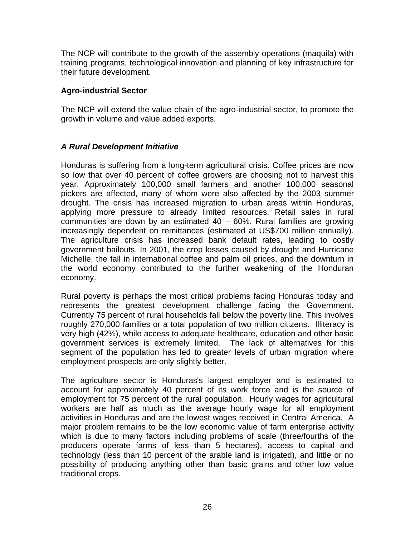The NCP will contribute to the growth of the assembly operations (maquila) with training programs, technological innovation and planning of key infrastructure for their future development.

### **Agro-industrial Sector**

The NCP will extend the value chain of the agro-industrial sector, to promote the growth in volume and value added exports.

# *A Rural Development Initiative*

Honduras is suffering from a long-term agricultural crisis. Coffee prices are now so low that over 40 percent of coffee growers are choosing not to harvest this year. Approximately 100,000 small farmers and another 100,000 seasonal pickers are affected, many of whom were also affected by the 2003 summer drought. The crisis has increased migration to urban areas within Honduras, applying more pressure to already limited resources. Retail sales in rural communities are down by an estimated 40 – 60%. Rural families are growing increasingly dependent on remittances (estimated at US\$700 million annually). The agriculture crisis has increased bank default rates, leading to costly government bailouts. In 2001, the crop losses caused by drought and Hurricane Michelle, the fall in international coffee and palm oil prices, and the downturn in the world economy contributed to the further weakening of the Honduran economy.

Rural poverty is perhaps the most critical problems facing Honduras today and represents the greatest development challenge facing the Government. Currently 75 percent of rural households fall below the poverty line. This involves roughly 270,000 families or a total population of two million citizens. Illiteracy is very high (42%), while access to adequate healthcare, education and other basic government services is extremely limited. The lack of alternatives for this segment of the population has led to greater levels of urban migration where employment prospects are only slightly better.

The agriculture sector is Honduras's largest employer and is estimated to account for approximately 40 percent of its work force and is the source of employment for 75 percent of the rural population. Hourly wages for agricultural workers are half as much as the average hourly wage for all employment activities in Honduras and are the lowest wages received in Central America. A major problem remains to be the low economic value of farm enterprise activity which is due to many factors including problems of scale (three/fourths of the producers operate farms of less than 5 hectares), access to capital and technology (less than 10 percent of the arable land is irrigated), and little or no possibility of producing anything other than basic grains and other low value traditional crops.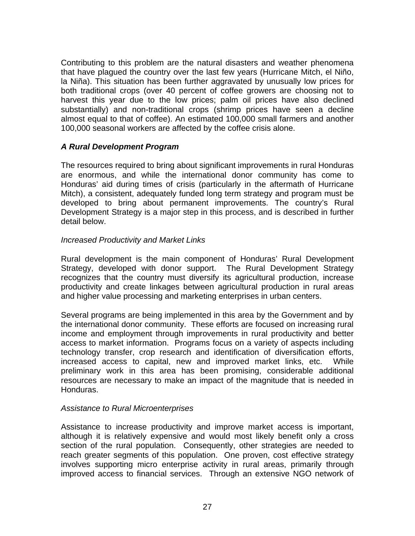Contributing to this problem are the natural disasters and weather phenomena that have plagued the country over the last few years (Hurricane Mitch, el Niño, la Niña). This situation has been further aggravated by unusually low prices for both traditional crops (over 40 percent of coffee growers are choosing not to harvest this year due to the low prices; palm oil prices have also declined substantially) and non-traditional crops (shrimp prices have seen a decline almost equal to that of coffee). An estimated 100,000 small farmers and another 100,000 seasonal workers are affected by the coffee crisis alone.

### *A Rural Development Program*

The resources required to bring about significant improvements in rural Honduras are enormous, and while the international donor community has come to Honduras' aid during times of crisis (particularly in the aftermath of Hurricane Mitch), a consistent, adequately funded long term strategy and program must be developed to bring about permanent improvements. The country's Rural Development Strategy is a major step in this process, and is described in further detail below.

#### *Increased Productivity and Market Links*

Rural development is the main component of Honduras' Rural Development Strategy, developed with donor support. The Rural Development Strategy recognizes that the country must diversify its agricultural production, increase productivity and create linkages between agricultural production in rural areas and higher value processing and marketing enterprises in urban centers.

Several programs are being implemented in this area by the Government and by the international donor community. These efforts are focused on increasing rural income and employment through improvements in rural productivity and better access to market information. Programs focus on a variety of aspects including technology transfer, crop research and identification of diversification efforts, increased access to capital, new and improved market links, etc. While preliminary work in this area has been promising, considerable additional resources are necessary to make an impact of the magnitude that is needed in Honduras.

#### *Assistance to Rural Microenterprises*

Assistance to increase productivity and improve market access is important, although it is relatively expensive and would most likely benefit only a cross section of the rural population. Consequently, other strategies are needed to reach greater segments of this population. One proven, cost effective strategy involves supporting micro enterprise activity in rural areas, primarily through improved access to financial services. Through an extensive NGO network of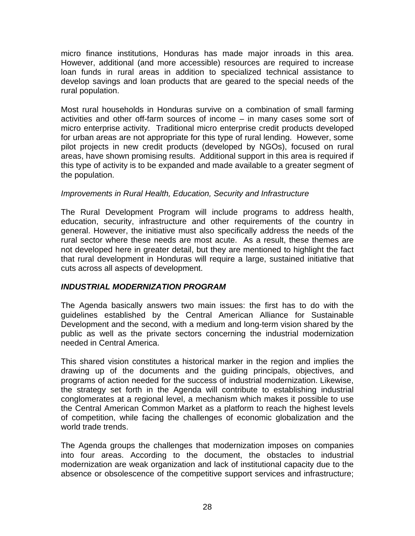micro finance institutions, Honduras has made major inroads in this area. However, additional (and more accessible) resources are required to increase loan funds in rural areas in addition to specialized technical assistance to develop savings and loan products that are geared to the special needs of the rural population.

Most rural households in Honduras survive on a combination of small farming activities and other off-farm sources of income – in many cases some sort of micro enterprise activity. Traditional micro enterprise credit products developed for urban areas are not appropriate for this type of rural lending. However, some pilot projects in new credit products (developed by NGOs), focused on rural areas, have shown promising results. Additional support in this area is required if this type of activity is to be expanded and made available to a greater segment of the population.

### *Improvements in Rural Health, Education, Security and Infrastructure*

The Rural Development Program will include programs to address health, education, security, infrastructure and other requirements of the country in general. However, the initiative must also specifically address the needs of the rural sector where these needs are most acute. As a result, these themes are not developed here in greater detail, but they are mentioned to highlight the fact that rural development in Honduras will require a large, sustained initiative that cuts across all aspects of development.

# *INDUSTRIAL MODERNIZATION PROGRAM*

The Agenda basically answers two main issues: the first has to do with the guidelines established by the Central American Alliance for Sustainable Development and the second, with a medium and long-term vision shared by the public as well as the private sectors concerning the industrial modernization needed in Central America.

This shared vision constitutes a historical marker in the region and implies the drawing up of the documents and the guiding principals, objectives, and programs of action needed for the success of industrial modernization. Likewise, the strategy set forth in the Agenda will contribute to establishing industrial conglomerates at a regional level, a mechanism which makes it possible to use the Central American Common Market as a platform to reach the highest levels of competition, while facing the challenges of economic globalization and the world trade trends.

The Agenda groups the challenges that modernization imposes on companies into four areas. According to the document, the obstacles to industrial modernization are weak organization and lack of institutional capacity due to the absence or obsolescence of the competitive support services and infrastructure;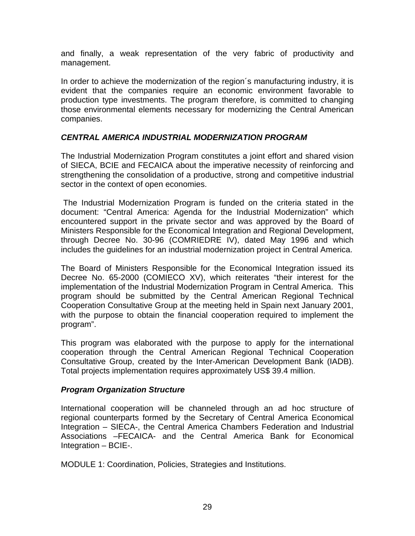and finally, a weak representation of the very fabric of productivity and management.

In order to achieve the modernization of the region´s manufacturing industry, it is evident that the companies require an economic environment favorable to production type investments. The program therefore, is committed to changing those environmental elements necessary for modernizing the Central American companies.

## *CENTRAL AMERICA INDUSTRIAL MODERNIZATION PROGRAM*

The Industrial Modernization Program constitutes a joint effort and shared vision of SIECA, BCIE and FECAICA about the imperative necessity of reinforcing and strengthening the consolidation of a productive, strong and competitive industrial sector in the context of open economies.

 The Industrial Modernization Program is funded on the criteria stated in the document: "Central America: Agenda for the Industrial Modernization" which encountered support in the private sector and was approved by the Board of Ministers Responsible for the Economical Integration and Regional Development, through Decree No. 30-96 (COMRIEDRE IV), dated May 1996 and which includes the guidelines for an industrial modernization project in Central America.

The Board of Ministers Responsible for the Economical Integration issued its Decree No. 65-2000 (COMIECO XV), which reiterates "their interest for the implementation of the Industrial Modernization Program in Central America. This program should be submitted by the Central American Regional Technical Cooperation Consultative Group at the meeting held in Spain next January 2001, with the purpose to obtain the financial cooperation required to implement the program".

This program was elaborated with the purpose to apply for the international cooperation through the Central American Regional Technical Cooperation Consultative Group, created by the Inter-American Development Bank (IADB). Total projects implementation requires approximately US\$ 39.4 million.

#### *Program Organization Structure*

International cooperation will be channeled through an ad hoc structure of regional counterparts formed by the Secretary of Central America Economical Integration – SIECA-, the Central America Chambers Federation and Industrial Associations –FECAICA- and the Central America Bank for Economical Integration – BCIE-.

MODULE 1: Coordination, Policies, Strategies and Institutions.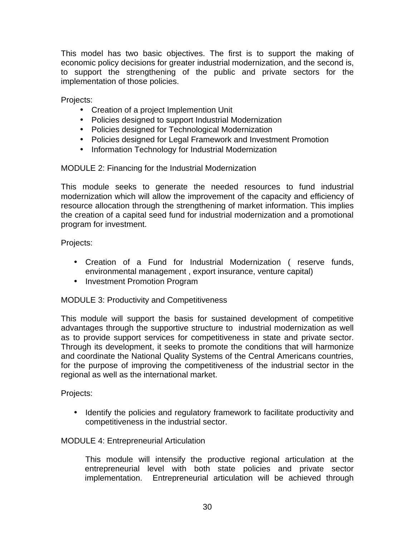This model has two basic objectives. The first is to support the making of economic policy decisions for greater industrial modernization, and the second is, to support the strengthening of the public and private sectors for the implementation of those policies.

Projects:

- Creation of a project Implemention Unit
- Policies designed to support Industrial Modernization
- Policies designed for Technological Modernization
- Policies designed for Legal Framework and Investment Promotion
- Information Technology for Industrial Modernization

MODULE 2: Financing for the Industrial Modernization

This module seeks to generate the needed resources to fund industrial modernization which will allow the improvement of the capacity and efficiency of resource allocation through the strengthening of market information. This implies the creation of a capital seed fund for industrial modernization and a promotional program for investment.

Projects:

- Creation of a Fund for Industrial Modernization ( reserve funds, environmental management , export insurance, venture capital)
- Investment Promotion Program

MODULE 3: Productivity and Competitiveness

This module will support the basis for sustained development of competitive advantages through the supportive structure to industrial modernization as well as to provide support services for competitiveness in state and private sector. Through its development, it seeks to promote the conditions that will harmonize and coordinate the National Quality Systems of the Central Americans countries, for the purpose of improving the competitiveness of the industrial sector in the regional as well as the international market.

Projects:

• Identify the policies and regulatory framework to facilitate productivity and competitiveness in the industrial sector.

# MODULE 4: Entrepreneurial Articulation

This module will intensify the productive regional articulation at the entrepreneurial level with both state policies and private sector implementation. Entrepreneurial articulation will be achieved through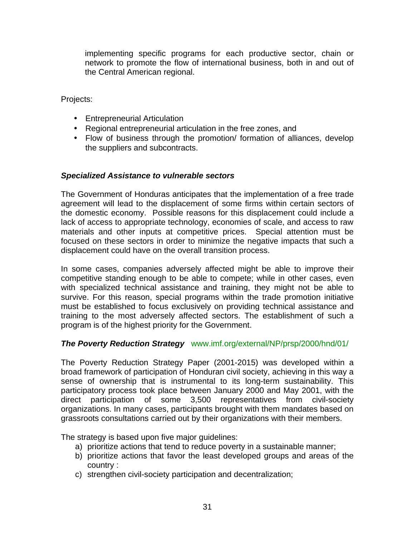implementing specific programs for each productive sector, chain or network to promote the flow of international business, both in and out of the Central American regional.

Projects:

- Entrepreneurial Articulation
- Regional entrepreneurial articulation in the free zones, and
- Flow of business through the promotion/ formation of alliances, develop the suppliers and subcontracts.

### *Specialized Assistance to vulnerable sectors*

The Government of Honduras anticipates that the implementation of a free trade agreement will lead to the displacement of some firms within certain sectors of the domestic economy. Possible reasons for this displacement could include a lack of access to appropriate technology, economies of scale, and access to raw materials and other inputs at competitive prices. Special attention must be focused on these sectors in order to minimize the negative impacts that such a displacement could have on the overall transition process.

In some cases, companies adversely affected might be able to improve their competitive standing enough to be able to compete; while in other cases, even with specialized technical assistance and training, they might not be able to survive. For this reason, special programs within the trade promotion initiative must be established to focus exclusively on providing technical assistance and training to the most adversely affected sectors. The establishment of such a program is of the highest priority for the Government.

#### *The Poverty Reduction Strategy* www.imf.org/external/NP/prsp/2000/hnd/01/

The Poverty Reduction Strategy Paper (2001-2015) was developed within a broad framework of participation of Honduran civil society, achieving in this way a sense of ownership that is instrumental to its long-term sustainability. This participatory process took place between January 2000 and May 2001, with the direct participation of some 3,500 representatives from civil-society organizations. In many cases, participants brought with them mandates based on grassroots consultations carried out by their organizations with their members.

The strategy is based upon five major guidelines:

- a) prioritize actions that tend to reduce poverty in a sustainable manner;
- b) prioritize actions that favor the least developed groups and areas of the country :
- c) strengthen civil-society participation and decentralization;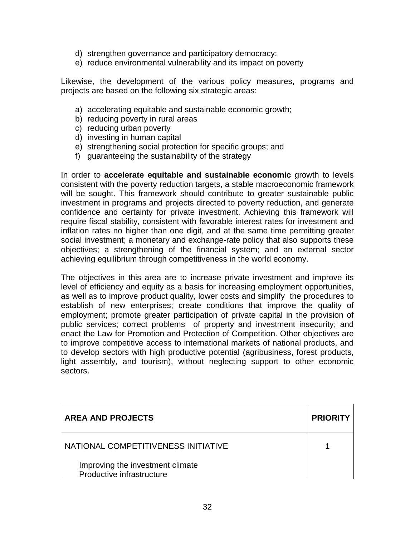- d) strengthen governance and participatory democracy;
- e) reduce environmental vulnerability and its impact on poverty

Likewise, the development of the various policy measures, programs and projects are based on the following six strategic areas:

- a) accelerating equitable and sustainable economic growth;
- b) reducing poverty in rural areas
- c) reducing urban poverty
- d) investing in human capital
- e) strengthening social protection for specific groups; and
- f) guaranteeing the sustainability of the strategy

In order to **accelerate equitable and sustainable economic** growth to levels consistent with the poverty reduction targets, a stable macroeconomic framework will be sought. This framework should contribute to greater sustainable public investment in programs and projects directed to poverty reduction, and generate confidence and certainty for private investment. Achieving this framework will require fiscal stability, consistent with favorable interest rates for investment and inflation rates no higher than one digit, and at the same time permitting greater social investment; a monetary and exchange-rate policy that also supports these objectives; a strengthening of the financial system; and an external sector achieving equilibrium through competitiveness in the world economy.

The objectives in this area are to increase private investment and improve its level of efficiency and equity as a basis for increasing employment opportunities, as well as to improve product quality, lower costs and simplify the procedures to establish of new enterprises; create conditions that improve the quality of employment; promote greater participation of private capital in the provision of public services; correct problems of property and investment insecurity; and enact the Law for Promotion and Protection of Competition. Other objectives are to improve competitive access to international markets of national products, and to develop sectors with high productive potential (agribusiness, forest products, light assembly, and tourism), without neglecting support to other economic sectors.

| <b>AREA AND PROJECTS</b>                                      | <b>PRIORITY</b> |
|---------------------------------------------------------------|-----------------|
| NATIONAL COMPETITIVENESS INITIATIVE                           |                 |
| Improving the investment climate<br>Productive infrastructure |                 |